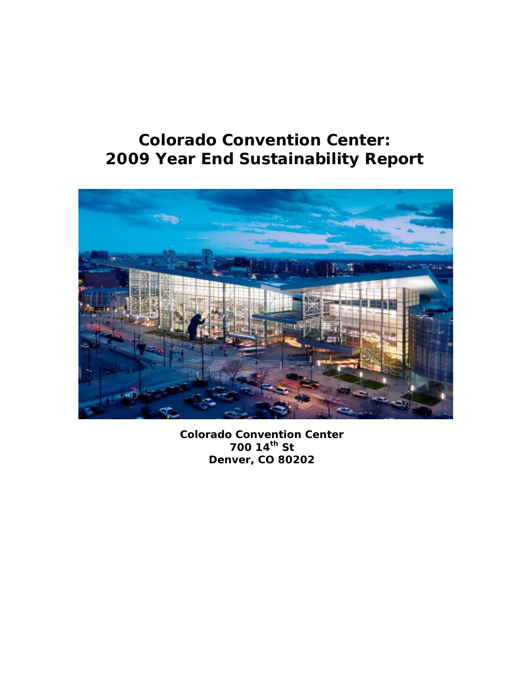# **Colorado Convention Center: 2009 Year End Sustainability Report**



*Colorado Convention Center 700 14th St Denver, CO 80202*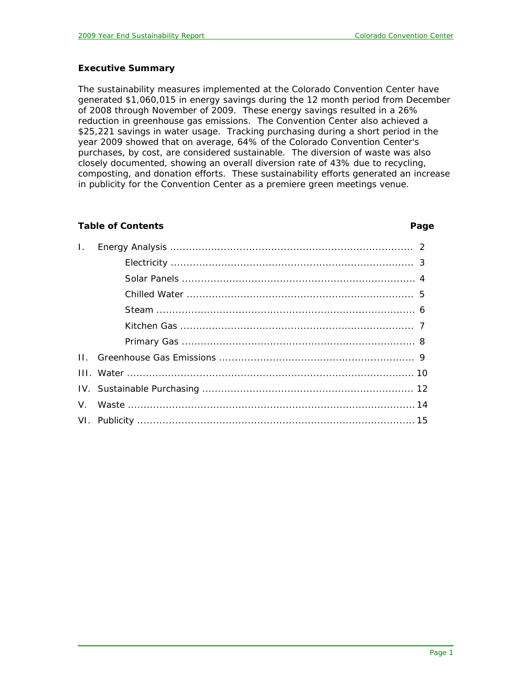### **Executive Summary**

The sustainability measures implemented at the Colorado Convention Center have generated \$1,060,015 in energy savings during the 12 month period from December of 2008 through November of 2009. These energy savings resulted in a 26% reduction in greenhouse gas emissions. The Convention Center also achieved a \$25,221 savings in water usage. Tracking purchasing during a short period in the year 2009 showed that on average, 64% of the Colorado Convention Center's purchases, by cost, are considered sustainable. The diversion of waste was also closely documented, showing an overall diversion rate of 43% due to recycling, composting, and donation efforts. These sustainability efforts generated an increase in publicity for the Convention Center as a premiere green meetings venue.

### **Table of Contents Page**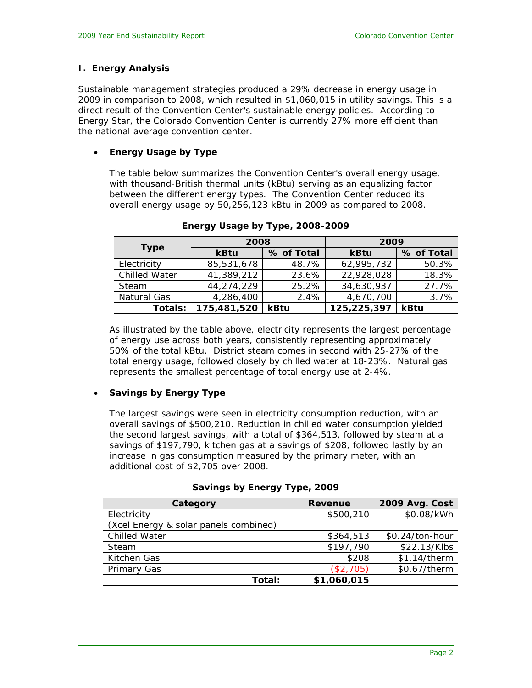# **I. Energy Analysis**

Sustainable management strategies produced a 29% decrease in energy usage in 2009 in comparison to 2008, which resulted in \$1,060,015 in utility savings. This is a direct result of the Convention Center's sustainable energy policies. According to Energy Star, the Colorado Convention Center is currently 27% more efficient than the national average convention center.

# • **Energy Usage by Type**

The table below summarizes the Convention Center's overall energy usage, with thousand-British thermal units (kBtu) serving as an equalizing factor between the different energy types. The Convention Center reduced its overall energy usage by 50,256,123 kBtu in 2009 as compared to 2008.

|                      | 2008        |            | 2009        |            |
|----------------------|-------------|------------|-------------|------------|
| <b>Type</b>          | kBtu        | % of Total | kBtu        | % of Total |
| Electricity          | 85,531,678  | 48.7%      | 62,995,732  | 50.3%      |
| <b>Chilled Water</b> | 41,389,212  | 23.6%      | 22,928,028  | 18.3%      |
| Steam                | 44,274,229  | 25.2%      | 34,630,937  | 27.7%      |
| Natural Gas          | 4,286,400   | 2.4%       | 4,670,700   | 3.7%       |
| Totals:              | 175,481,520 | kBtu       | 125,225,397 | kBtu       |

*Energy Usage by Type, 2008-2009* 

As illustrated by the table above, electricity represents the largest percentage of energy use across both years, consistently representing approximately 50% of the total kBtu. District steam comes in second with 25-27% of the total energy usage, followed closely by chilled water at 18-23%. Natural gas represents the smallest percentage of total energy use at 2-4%.

# • **Savings by Energy Type**

The largest savings were seen in electricity consumption reduction, with an overall savings of \$500,210. Reduction in chilled water consumption yielded the second largest savings, with a total of \$364,513, followed by steam at a savings of \$197,790, kitchen gas at a savings of \$208, followed lastly by an increase in gas consumption measured by the primary meter, with an additional cost of \$2,705 over 2008.

| Category                              | <b>Revenue</b> | 2009 Avg. Cost  |
|---------------------------------------|----------------|-----------------|
| Electricity                           | \$500,210      | \$0.08/kWh      |
| (Xcel Energy & solar panels combined) |                |                 |
| <b>Chilled Water</b>                  | \$364,513      | \$0.24/ton-hour |
| Steam                                 | \$197,790      | \$22.13/Klbs    |
| Kitchen Gas                           | \$208          | \$1.14/therm    |
| Primary Gas                           | (\$2,705)      | \$0.67/therm    |
| Total:                                | \$1,060,015    |                 |

*Savings by Energy Type, 2009*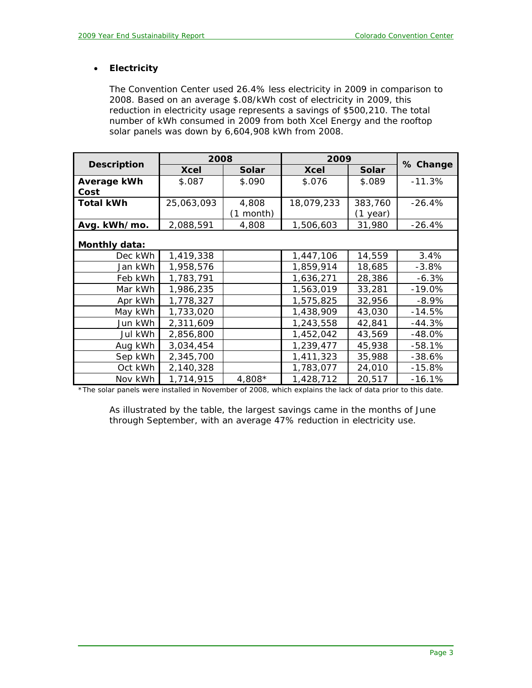# • **Electricity**

The Convention Center used 26.4% less electricity in 2009 in comparison to 2008. Based on an average \$.08/kWh cost of electricity in 2009, this reduction in electricity usage represents a savings of \$500,210. The total number of kWh consumed in 2009 from both Xcel Energy and the rooftop solar panels was down by 6,604,908 kWh from 2008.

|                    | 2008        |           | 2009        |          |          |
|--------------------|-------------|-----------|-------------|----------|----------|
| <b>Description</b> | <b>Xcel</b> | Solar     | <b>Xcel</b> | Solar    | % Change |
| Average kWh        | \$.087      | \$.090    | \$.076      | \$.089   | $-11.3%$ |
| Cost               |             |           |             |          |          |
| <b>Total kWh</b>   | 25,063,093  | 4,808     | 18,079,233  | 383,760  | $-26.4%$ |
|                    |             | (1 month) |             | (1 year) |          |
| Avg. kWh/mo.       | 2,088,591   | 4,808     | 1,506,603   | 31,980   | $-26.4%$ |
| Monthly data:      |             |           |             |          |          |
| Dec kWh            | 1,419,338   |           | 1,447,106   | 14,559   | 3.4%     |
| Jan kWh            | 1,958,576   |           | 1,859,914   | 18,685   | $-3.8%$  |
| Feb kWh            | 1,783,791   |           | 1,636,271   | 28,386   | $-6.3%$  |
| Mar kWh            | 1,986,235   |           | 1,563,019   | 33,281   | $-19.0%$ |
| Apr kWh            | 1,778,327   |           | 1,575,825   | 32,956   | $-8.9%$  |
| May kWh            | 1,733,020   |           | 1,438,909   | 43,030   | $-14.5%$ |
| Jun kWh            | 2,311,609   |           | 1,243,558   | 42,841   | $-44.3%$ |
| Jul kWh            | 2,856,800   |           | 1,452,042   | 43,569   | $-48.0%$ |
| Aug kWh            | 3,034,454   |           | 1,239,477   | 45,938   | $-58.1%$ |
| Sep kWh            | 2,345,700   |           | 1,411,323   | 35,988   | $-38.6%$ |
| Oct kWh            | 2,140,328   |           | 1,783,077   | 24,010   | $-15.8%$ |
| Nov kWh            | 1,714,915   | $4,808*$  | 1,428,712   | 20,517   | $-16.1%$ |

*\*The solar panels were installed in November of 2008, which explains the lack of data prior to this date.* 

As illustrated by the table, the largest savings came in the months of June through September, with an average 47% reduction in electricity use.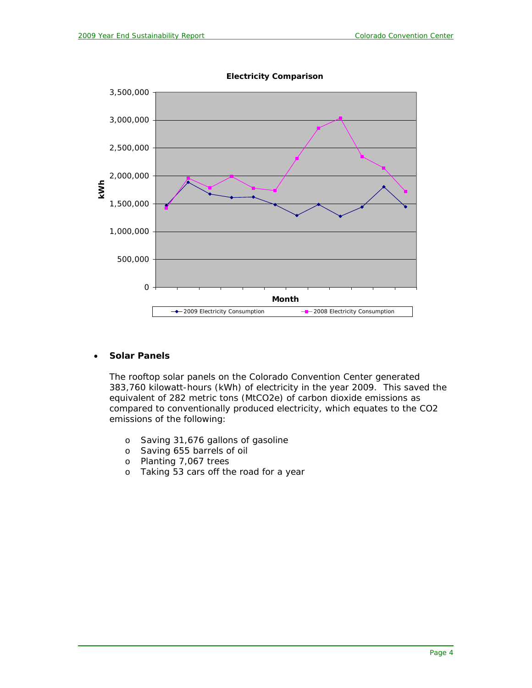

**Electricity Comparison**

### • **Solar Panels**

The rooftop solar panels on the Colorado Convention Center generated 383,760 kilowatt-hours (kWh) of electricity in the year 2009. This saved the equivalent of 282 metric tons (MtCO2e) of carbon dioxide emissions as compared to conventionally produced electricity, which equates to the CO2 emissions of the following:

- o Saving 31,676 gallons of gasoline
- o Saving 655 barrels of oil
- o Planting 7,067 trees
- o Taking 53 cars off the road for a year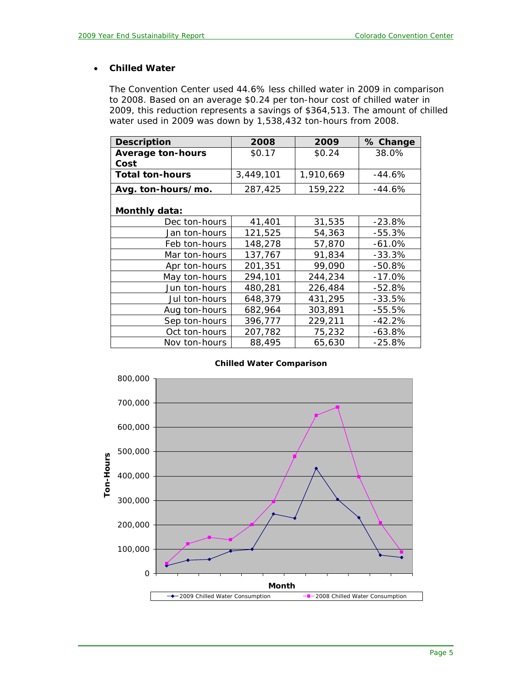# • **Chilled Water**

The Convention Center used 44.6% less chilled water in 2009 in comparison to 2008. Based on an average \$0.24 per ton-hour cost of chilled water in 2009, this reduction represents a savings of \$364,513. The amount of chilled water used in 2009 was down by 1,538,432 ton-hours from 2008.

| <b>Description</b>               | 2008      | 2009      | % Change |
|----------------------------------|-----------|-----------|----------|
| <b>Average ton-hours</b><br>Cost | \$0.17    | \$0.24    | 38.0%    |
| <b>Total ton-hours</b>           | 3,449,101 | 1,910,669 | $-44.6%$ |
| Avg. ton-hours/mo.               | 287,425   | 159,222   | $-44.6%$ |
| <b>Monthly data:</b>             |           |           |          |
| Dec ton-hours                    | 41,401    | 31,535    | $-23.8%$ |
| Jan ton-hours                    | 121,525   | 54,363    | $-55.3%$ |
| Feb ton-hours                    | 148,278   | 57,870    | $-61.0%$ |
| Mar ton-hours                    | 137,767   | 91,834    | $-33.3%$ |
| Apr ton-hours                    | 201,351   | 99,090    | $-50.8%$ |
| May ton-hours                    | 294,101   | 244,234   | $-17.0%$ |
| Jun ton-hours                    | 480,281   | 226,484   | $-52.8%$ |
| Jul ton-hours                    | 648,379   | 431,295   | $-33.5%$ |
| Aug ton-hours                    | 682,964   | 303,891   | $-55.5%$ |
| Sep ton-hours                    | 396,777   | 229,211   | $-42.2%$ |
| Oct ton-hours                    | 207,782   | 75,232    | $-63.8%$ |
| Nov ton-hours                    | 88,495    | 65,630    | $-25.8%$ |

#### **Chilled Water Comparison**

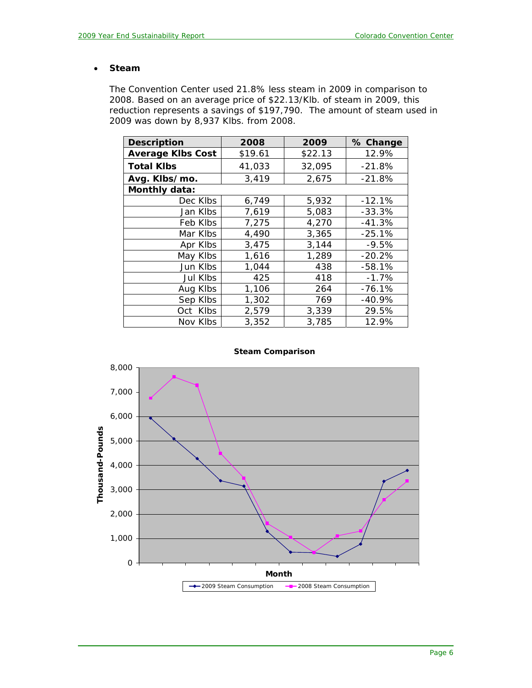#### • **Steam**

The Convention Center used 21.8% less steam in 2009 in comparison to 2008. Based on an average price of \$22.13/Klb. of steam in 2009, this reduction represents a savings of \$197,790. The amount of steam used in 2009 was down by 8,937 Klbs. from 2008.

| <b>Description</b>       | 2008    | 2009    | % Change |
|--------------------------|---------|---------|----------|
| <b>Average Klbs Cost</b> | \$19.61 | \$22.13 | 12.9%    |
| <b>Total Klbs</b>        | 41,033  | 32,095  | $-21.8%$ |
| Avg. Klbs/mo.            | 3,419   | 2,675   | $-21.8%$ |
| Monthly data:            |         |         |          |
| Dec Klbs                 | 6,749   | 5,932   | $-12.1%$ |
| Jan Klbs                 | 7,619   | 5,083   | $-33.3%$ |
| Feb Klbs                 | 7,275   | 4,270   | $-41.3%$ |
| Mar Klbs                 | 4,490   | 3,365   | $-25.1%$ |
| Apr Klbs                 | 3,475   | 3,144   | $-9.5%$  |
| May Klbs                 | 1,616   | 1,289   | $-20.2%$ |
| Jun Klbs                 | 1,044   | 438     | $-58.1%$ |
| Jul Klbs                 | 425     | 418     | $-1.7%$  |
| Aug Klbs                 | 1,106   | 264     | $-76.1%$ |
| Sep Klbs                 | 1,302   | 769     | $-40.9%$ |
| Oct Klbs                 | 2,579   | 3,339   | 29.5%    |
| Nov Klbs                 | 3,352   | 3,785   | 12.9%    |



#### **Steam Comparison**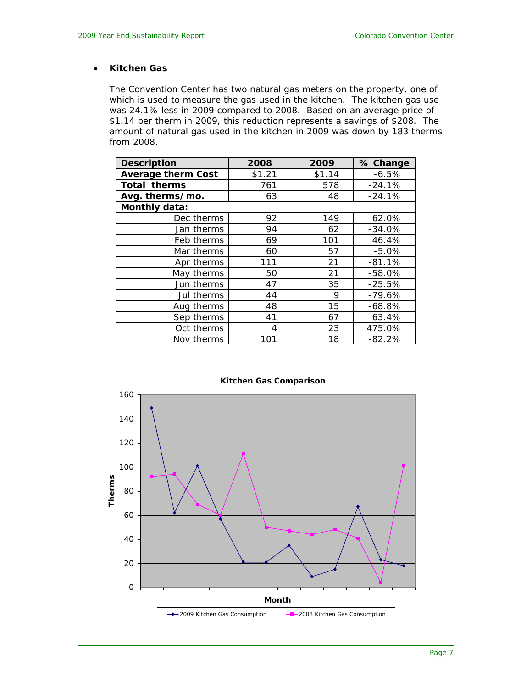# • **Kitchen Gas**

The Convention Center has two natural gas meters on the property, one of which is used to measure the gas used in the kitchen. The kitchen gas use was 24.1% less in 2009 compared to 2008. Based on an average price of \$1.14 per therm in 2009, this reduction represents a savings of \$208. The amount of natural gas used in the kitchen in 2009 was down by 183 therms from 2008.

| <b>Description</b>        | 2008   | 2009   | % Change |
|---------------------------|--------|--------|----------|
| <b>Average therm Cost</b> | \$1.21 | \$1.14 | $-6.5%$  |
| <b>Total therms</b>       | 761    | 578    | $-24.1%$ |
| Avg. therms/mo.           | 63     | 48     | $-24.1%$ |
| Monthly data:             |        |        |          |
| Dec therms                | 92     | 149    | 62.0%    |
| Jan therms                | 94     | 62     | $-34.0%$ |
| Feb therms                | 69     | 101    | 46.4%    |
| Mar therms                | 60     | 57     | $-5.0%$  |
| Apr therms                | 111    | 21     | $-81.1%$ |
| May therms                | 50     | 21     | $-58.0%$ |
| Jun therms                | 47     | 35     | $-25.5%$ |
| Jul therms                | 44     | 9      | $-79.6%$ |
| Aug therms                | 48     | 15     | $-68.8%$ |
| Sep therms                | 41     | 67     | 63.4%    |
| Oct therms                | 4      | 23     | 475.0%   |
| Nov therms                | 101    | 18     | $-82.2%$ |



#### **Kitchen Gas Comparison**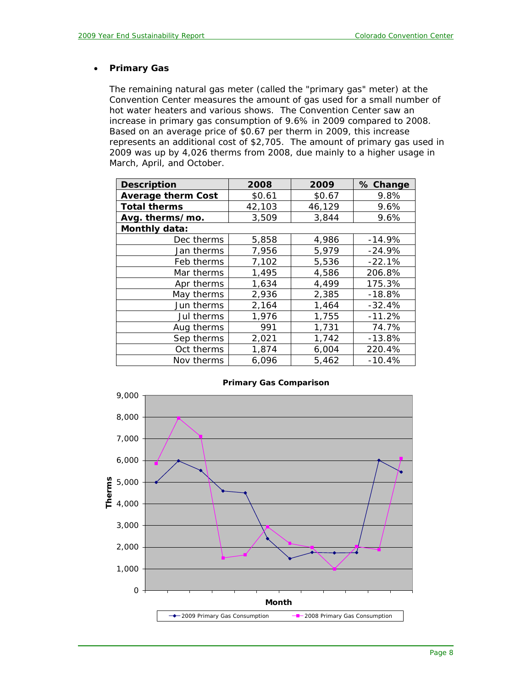#### • **Primary Gas**

The remaining natural gas meter (called the "primary gas" meter) at the Convention Center measures the amount of gas used for a small number of hot water heaters and various shows. The Convention Center saw an increase in primary gas consumption of 9.6% in 2009 compared to 2008. Based on an average price of \$0.67 per therm in 2009, this increase represents an additional cost of \$2,705. The amount of primary gas used in 2009 was up by 4,026 therms from 2008, due mainly to a higher usage in March, April, and October.

| <b>Description</b>        | 2008   | 2009   | % Change |
|---------------------------|--------|--------|----------|
| <b>Average therm Cost</b> | \$0.61 | \$0.67 | 9.8%     |
| <b>Total therms</b>       | 42,103 | 46,129 | 9.6%     |
| Avg. therms/mo.           | 3,509  | 3,844  | 9.6%     |
| Monthly data:             |        |        |          |
| Dec therms                | 5,858  | 4,986  | $-14.9%$ |
| Jan therms                | 7,956  | 5,979  | $-24.9%$ |
| Feb therms                | 7,102  | 5,536  | $-22.1%$ |
| Mar therms                | 1,495  | 4,586  | 206.8%   |
| Apr therms                | 1,634  | 4,499  | 175.3%   |
| May therms                | 2,936  | 2,385  | $-18.8%$ |
| Jun therms                | 2,164  | 1,464  | $-32.4%$ |
| Jul therms                | 1,976  | 1,755  | $-11.2%$ |
| Aug therms                | 991    | 1,731  | 74.7%    |
| Sep therms                | 2,021  | 1,742  | $-13.8%$ |
| Oct therms                | 1,874  | 6,004  | 220.4%   |
| Nov therms                | 6,096  | 5,462  | $-10.4%$ |



#### **Primary Gas Comparison**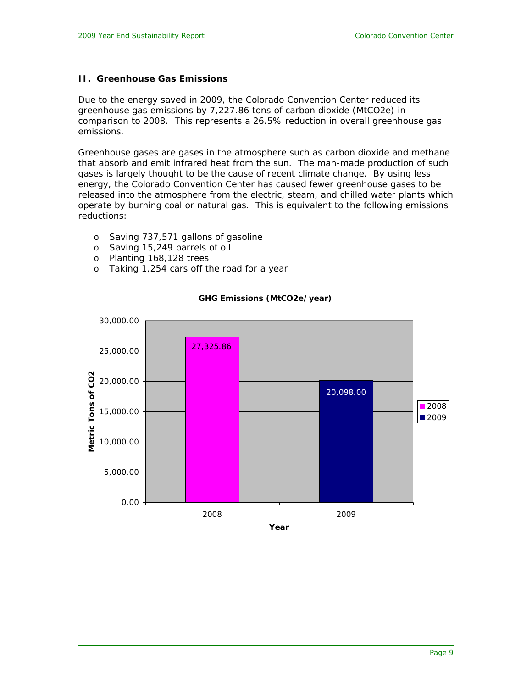### **II. Greenhouse Gas Emissions**

Due to the energy saved in 2009, the Colorado Convention Center reduced its greenhouse gas emissions by 7,227.86 tons of carbon dioxide (MtCO2e) in comparison to 2008. This represents a 26.5% reduction in overall greenhouse gas emissions.

Greenhouse gases are gases in the atmosphere such as carbon dioxide and methane that absorb and emit infrared heat from the sun. The man-made production of such gases is largely thought to be the cause of recent climate change. By using less energy, the Colorado Convention Center has caused fewer greenhouse gases to be released into the atmosphere from the electric, steam, and chilled water plants which operate by burning coal or natural gas. This is equivalent to the following emissions reductions:

- o Saving 737,571 gallons of gasoline
- o Saving 15,249 barrels of oil
- o Planting 168,128 trees
- o Taking 1,254 cars off the road for a year



### **GHG Emissions (MtCO2e/year)**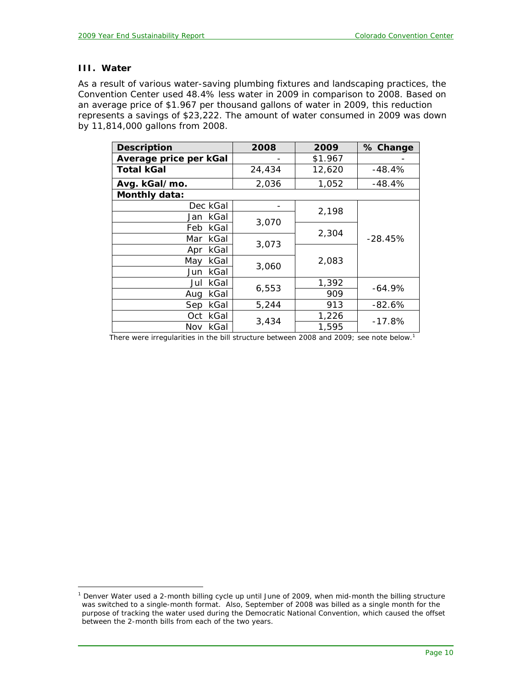# **III. Water**

 $\overline{a}$ 

As a result of various water-saving plumbing fixtures and landscaping practices, the Convention Center used 48.4% less water in 2009 in comparison to 2008. Based on an average price of \$1.967 per thousand gallons of water in 2009, this reduction represents a savings of \$23,222. The amount of water consumed in 2009 was down by 11,814,000 gallons from 2008.

| <b>Description</b>     | 2008           | 2009    | % Change  |
|------------------------|----------------|---------|-----------|
| Average price per kGal |                | \$1.967 |           |
| <b>Total kGal</b>      | 24,434         | 12,620  | $-48.4%$  |
| Avg. kGal/mo.          | 2,036          | 1,052   | -48.4%    |
| Monthly data:          |                |         |           |
| Dec kGal               |                | 2,198   |           |
| Jan kGal               | 3,070<br>3,073 |         |           |
| Feb kGal               |                | 2,304   |           |
| Mar kGal               |                |         | $-28.45%$ |
| Apr kGal               |                |         |           |
| kGal<br>Mav            | 3,060          | 2,083   |           |
| Jun kGal               |                |         |           |
| kGal<br>Jul            |                | 1,392   | $-64.9\%$ |
| kGal<br>Aug            | 6,553          | 909     |           |
| kGal<br>Sep            | 5,244          | 913     | $-82.6%$  |
| kGal<br>Oct            |                | 1,226   | $-17.8%$  |
| kGal<br>Nov            | 3,434          | 1,595   |           |

*There were irregularities in the bill structure between 2008 and 2009; see note below.1*

<sup>&</sup>lt;sup>1</sup> Denver Water used a 2-month billing cycle up until June of 2009, when mid-month the billing structure *was switched to a single-month format. Also, September of 2008 was billed as a single month for the purpose of tracking the water used during the Democratic National Convention, which caused the offset between the 2-month bills from each of the two years.*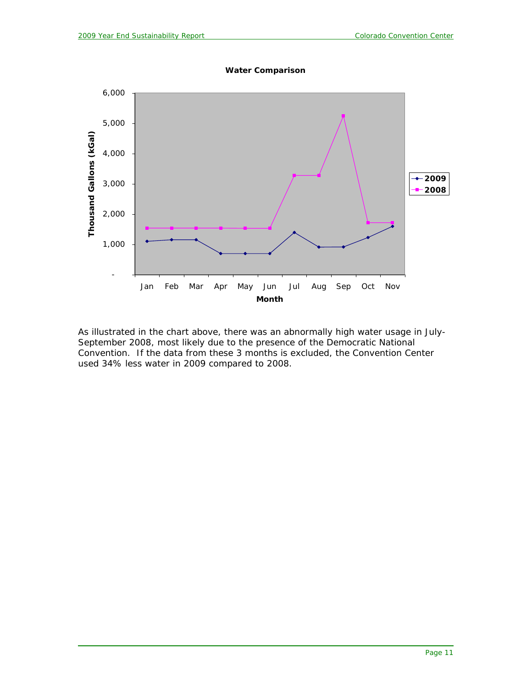

**Water Comparison**

As illustrated in the chart above, there was an abnormally high water usage in July-September 2008, most likely due to the presence of the Democratic National Convention. If the data from these 3 months is excluded, the Convention Center used 34% less water in 2009 compared to 2008.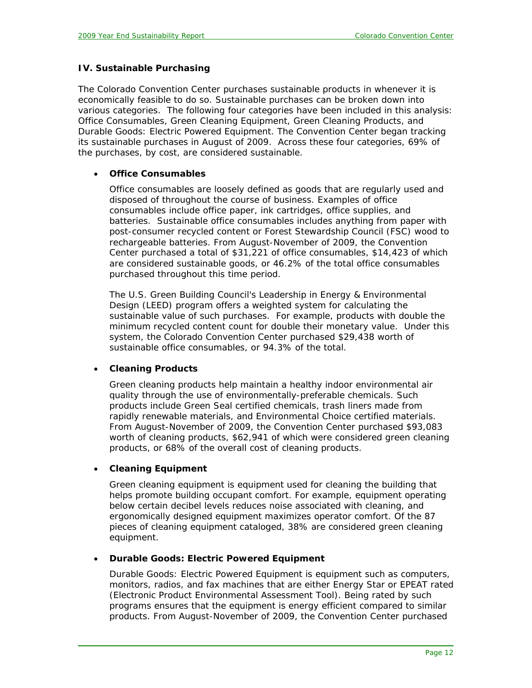#### **IV. Sustainable Purchasing**

The Colorado Convention Center purchases sustainable products in whenever it is economically feasible to do so. Sustainable purchases can be broken down into various categories. The following four categories have been included in this analysis: Office Consumables, Green Cleaning Equipment, Green Cleaning Products, and Durable Goods: Electric Powered Equipment. The Convention Center began tracking its sustainable purchases in August of 2009. Across these four categories, 69% of the purchases, by cost, are considered sustainable.

#### • **Office Consumables**

Office consumables are loosely defined as goods that are regularly used and disposed of throughout the course of business. Examples of office consumables include office paper, ink cartridges, office supplies, and batteries. Sustainable office consumables includes anything from paper with post-consumer recycled content or Forest Stewardship Council (FSC) wood to rechargeable batteries. From August-November of 2009, the Convention Center purchased a total of \$31,221 of office consumables, \$14,423 of which are considered sustainable goods, or 46.2% of the total office consumables purchased throughout this time period.

The U.S. Green Building Council's Leadership in Energy & Environmental Design (LEED) program offers a weighted system for calculating the sustainable value of such purchases. For example, products with double the minimum recycled content count for double their monetary value. Under this system, the Colorado Convention Center purchased \$29,438 worth of sustainable office consumables, or 94.3% of the total.

#### • **Cleaning Products**

Green cleaning products help maintain a healthy indoor environmental air quality through the use of environmentally-preferable chemicals. Such products include Green Seal certified chemicals, trash liners made from rapidly renewable materials, and Environmental Choice certified materials. From August-November of 2009, the Convention Center purchased \$93,083 worth of cleaning products, \$62,941 of which were considered green cleaning products, or 68% of the overall cost of cleaning products.

#### • **Cleaning Equipment**

Green cleaning equipment is equipment used for cleaning the building that helps promote building occupant comfort. For example, equipment operating below certain decibel levels reduces noise associated with cleaning, and ergonomically designed equipment maximizes operator comfort. Of the 87 pieces of cleaning equipment cataloged, 38% are considered green cleaning equipment.

#### • **Durable Goods: Electric Powered Equipment**

Durable Goods: Electric Powered Equipment is equipment such as computers, monitors, radios, and fax machines that are either Energy Star or EPEAT rated (Electronic Product Environmental Assessment Tool). Being rated by such programs ensures that the equipment is energy efficient compared to similar products. From August-November of 2009, the Convention Center purchased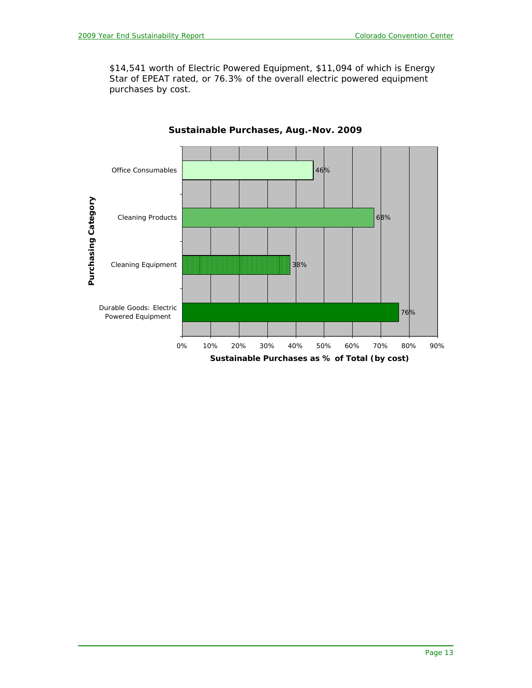\$14,541 worth of Electric Powered Equipment, \$11,094 of which is Energy Star of EPEAT rated, or 76.3% of the overall electric powered equipment purchases by cost.



**Sustainable Purchases, Aug.-Nov. 2009**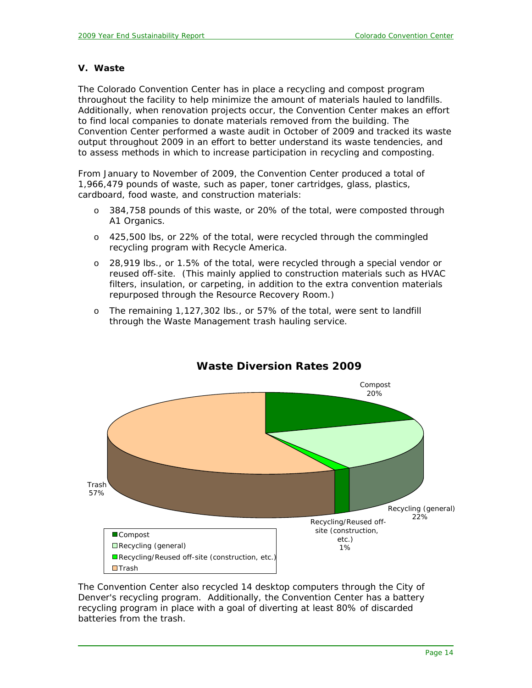#### **V. Waste**

The Colorado Convention Center has in place a recycling and compost program throughout the facility to help minimize the amount of materials hauled to landfills. Additionally, when renovation projects occur, the Convention Center makes an effort to find local companies to donate materials removed from the building. The Convention Center performed a waste audit in October of 2009 and tracked its waste output throughout 2009 in an effort to better understand its waste tendencies, and to assess methods in which to increase participation in recycling and composting.

From January to November of 2009, the Convention Center produced a total of 1,966,479 pounds of waste, such as paper, toner cartridges, glass, plastics, cardboard, food waste, and construction materials:

- o 384,758 pounds of this waste, or 20% of the total, were composted through A1 Organics.
- o 425,500 lbs, or 22% of the total, were recycled through the commingled recycling program with Recycle America.
- o 28,919 lbs., or 1.5% of the total, were recycled through a special vendor or reused off-site. (This mainly applied to construction materials such as HVAC filters, insulation, or carpeting, in addition to the extra convention materials repurposed through the Resource Recovery Room.)
- o The remaining 1,127,302 lbs., or 57% of the total, were sent to landfill through the Waste Management trash hauling service.



# **Waste Diversion Rates 2009**

The Convention Center also recycled 14 desktop computers through the City of Denver's recycling program. Additionally, the Convention Center has a battery recycling program in place with a goal of diverting at least 80% of discarded batteries from the trash.